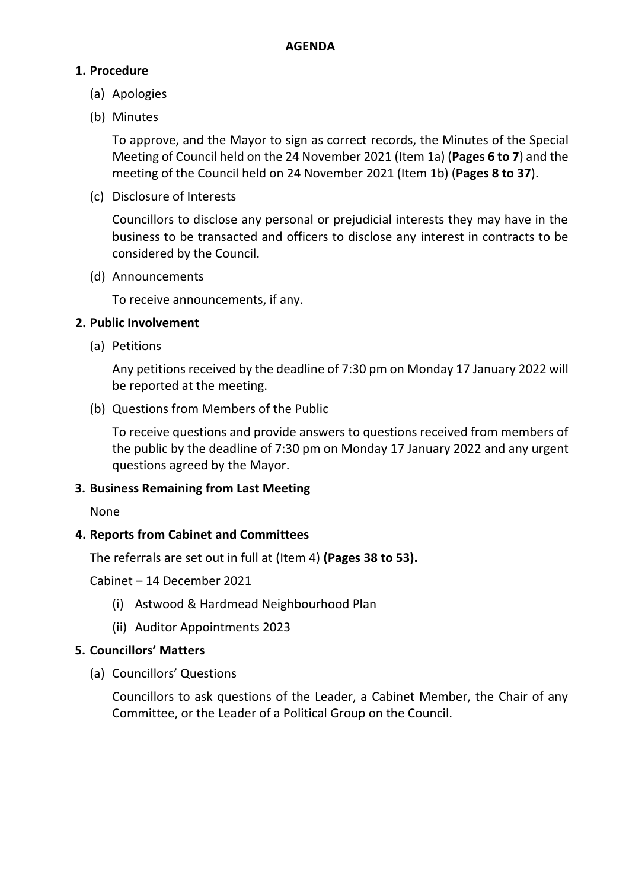## **1. Procedure**

- (a) Apologies
- (b) Minutes

To approve, and the Mayor to sign as correct records, the Minutes of the Special Meeting of Council held on the 24 November 2021 (Item 1a) (**Pages 6 to 7**) and the meeting of the Council held on 24 November 2021 (Item 1b) (**Pages 8 to 37**).

(c) Disclosure of Interests

Councillors to disclose any personal or prejudicial interests they may have in the business to be transacted and officers to disclose any interest in contracts to be considered by the Council.

(d) Announcements

To receive announcements, if any.

### **2. Public Involvement**

(a) Petitions

Any petitions received by the deadline of 7:30 pm on Monday 17 January 2022 will be reported at the meeting.

(b) Questions from Members of the Public

To receive questions and provide answers to questions received from members of the public by the deadline of 7:30 pm on Monday 17 January 2022 and any urgent questions agreed by the Mayor.

#### **3. Business Remaining from Last Meeting**

None

## **4. Reports from Cabinet and Committees**

The referrals are set out in full at (Item 4) **(Pages 38 to 53).**

Cabinet – 14 December 2021

- (i) Astwood & Hardmead Neighbourhood Plan
- (ii) Auditor Appointments 2023

#### **5. Councillors' Matters**

(a) Councillors' Questions

Councillors to ask questions of the Leader, a Cabinet Member, the Chair of any Committee, or the Leader of a Political Group on the Council.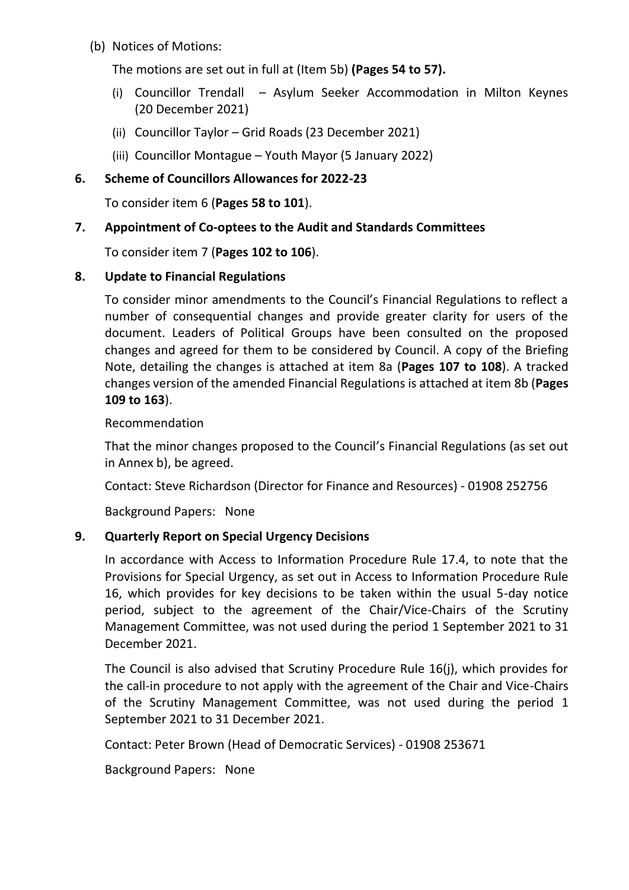(b) Notices of Motions:

The motions are set out in full at (Item 5b) **(Pages 54 to 57).**

- (i) Councillor Trendall Asylum Seeker Accommodation in Milton Keynes (20 December 2021)
- (ii) Councillor Taylor Grid Roads (23 December 2021)
- (iii) Councillor Montague Youth Mayor (5 January 2022)

# **6. Scheme of Councillors Allowances for 2022-23**

To consider item 6 (**Pages 58 to 101**).

# **7. Appointment of Co-optees to the Audit and Standards Committees**

To consider item 7 (**Pages 102 to 106**).

# **8. Update to Financial Regulations**

To consider minor amendments to the Council's Financial Regulations to reflect a number of consequential changes and provide greater clarity for users of the document. Leaders of Political Groups have been consulted on the proposed changes and agreed for them to be considered by Council. A copy of the Briefing Note, detailing the changes is attached at item 8a (**Pages 107 to 108**). A tracked changes version of the amended Financial Regulations is attached at item 8b (**Pages 109 to 163**).

Recommendation

That the minor changes proposed to the Council's Financial Regulations (as set out in Annex b), be agreed.

Contact: Steve Richardson (Director for Finance and Resources) - 01908 252756

Background Papers: None

## **9. Quarterly Report on Special Urgency Decisions**

In accordance with Access to Information Procedure Rule 17.4, to note that the Provisions for Special Urgency, as set out in Access to Information Procedure Rule 16, which provides for key decisions to be taken within the usual 5-day notice period, subject to the agreement of the Chair/Vice-Chairs of the Scrutiny Management Committee, was not used during the period 1 September 2021 to 31 December 2021.

The Council is also advised that Scrutiny Procedure Rule 16(j), which provides for the call-in procedure to not apply with the agreement of the Chair and Vice-Chairs of the Scrutiny Management Committee, was not used during the period 1 September 2021 to 31 December 2021.

Contact: Peter Brown (Head of Democratic Services) - 01908 253671

Background Papers: None